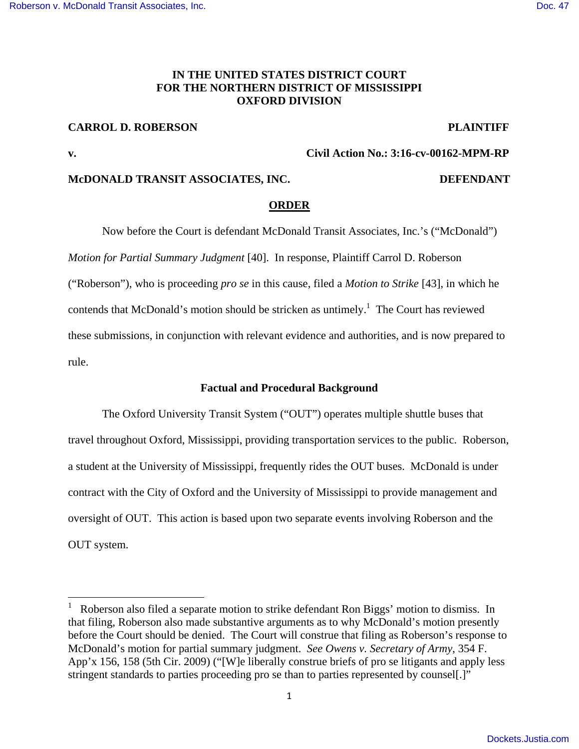## **IN THE UNITED STATES DISTRICT COURT FOR THE NORTHERN DISTRICT OF MISSISSIPPI OXFORD DIVISION**

# **CARROL D. ROBERSON PLAINTIFF**

### **v. Civil Action No.: 3:16-cv-00162-MPM-RP**

## **McDONALD TRANSIT ASSOCIATES, INC. DEFENDANT**

### **ORDER**

Now before the Court is defendant McDonald Transit Associates, Inc.'s ("McDonald") *Motion for Partial Summary Judgment* [40]. In response, Plaintiff Carrol D. Roberson ("Roberson"), who is proceeding *pro se* in this cause, filed a *Motion to Strike* [43], in which he contends that McDonald's motion should be stricken as untimely.<sup>1</sup> The Court has reviewed these submissions, in conjunction with relevant evidence and authorities, and is now prepared to rule.

## **Factual and Procedural Background**

 The Oxford University Transit System ("OUT") operates multiple shuttle buses that travel throughout Oxford, Mississippi, providing transportation services to the public. Roberson, a student at the University of Mississippi, frequently rides the OUT buses. McDonald is under contract with the City of Oxford and the University of Mississippi to provide management and oversight of OUT. This action is based upon two separate events involving Roberson and the OUT system.

<sup>1</sup> Roberson also filed a separate motion to strike defendant Ron Biggs' motion to dismiss. In that filing, Roberson also made substantive arguments as to why McDonald's motion presently before the Court should be denied. The Court will construe that filing as Roberson's response to McDonald's motion for partial summary judgment. *See Owens v. Secretary of Army*, 354 F. App'x 156, 158 (5th Cir. 2009) ("[W]e liberally construe briefs of pro se litigants and apply less stringent standards to parties proceeding pro se than to parties represented by counsel[.]"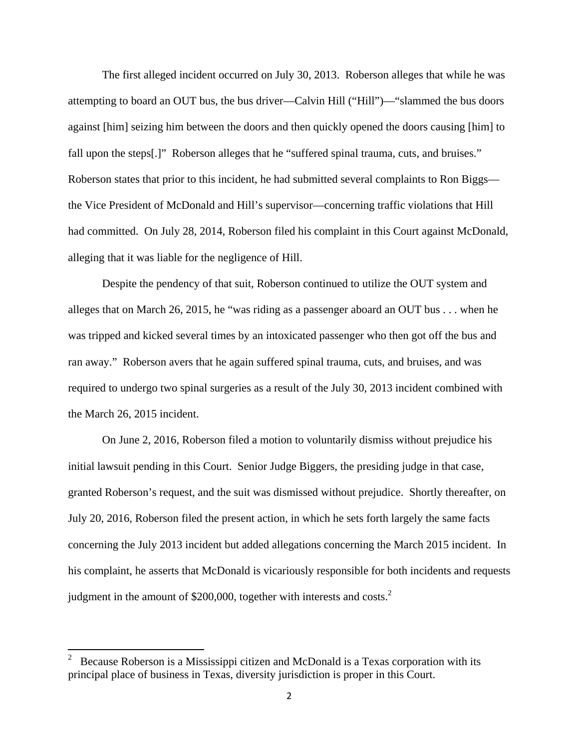The first alleged incident occurred on July 30, 2013. Roberson alleges that while he was attempting to board an OUT bus, the bus driver—Calvin Hill ("Hill")—"slammed the bus doors against [him] seizing him between the doors and then quickly opened the doors causing [him] to fall upon the steps[.]" Roberson alleges that he "suffered spinal trauma, cuts, and bruises." Roberson states that prior to this incident, he had submitted several complaints to Ron Biggs the Vice President of McDonald and Hill's supervisor—concerning traffic violations that Hill had committed. On July 28, 2014, Roberson filed his complaint in this Court against McDonald, alleging that it was liable for the negligence of Hill.

 Despite the pendency of that suit, Roberson continued to utilize the OUT system and alleges that on March 26, 2015, he "was riding as a passenger aboard an OUT bus . . . when he was tripped and kicked several times by an intoxicated passenger who then got off the bus and ran away." Roberson avers that he again suffered spinal trauma, cuts, and bruises, and was required to undergo two spinal surgeries as a result of the July 30, 2013 incident combined with the March 26, 2015 incident.

 On June 2, 2016, Roberson filed a motion to voluntarily dismiss without prejudice his initial lawsuit pending in this Court. Senior Judge Biggers, the presiding judge in that case, granted Roberson's request, and the suit was dismissed without prejudice. Shortly thereafter, on July 20, 2016, Roberson filed the present action, in which he sets forth largely the same facts concerning the July 2013 incident but added allegations concerning the March 2015 incident. In his complaint, he asserts that McDonald is vicariously responsible for both incidents and requests judgment in the amount of \$200,000, together with interests and costs.<sup>2</sup>

<sup>2</sup> Because Roberson is a Mississippi citizen and McDonald is a Texas corporation with its principal place of business in Texas, diversity jurisdiction is proper in this Court.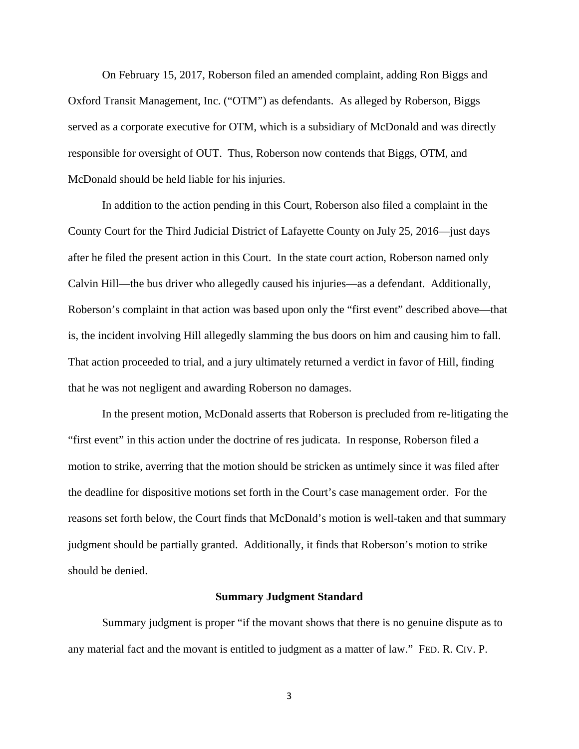On February 15, 2017, Roberson filed an amended complaint, adding Ron Biggs and Oxford Transit Management, Inc. ("OTM") as defendants. As alleged by Roberson, Biggs served as a corporate executive for OTM, which is a subsidiary of McDonald and was directly responsible for oversight of OUT. Thus, Roberson now contends that Biggs, OTM, and McDonald should be held liable for his injuries.

 In addition to the action pending in this Court, Roberson also filed a complaint in the County Court for the Third Judicial District of Lafayette County on July 25, 2016—just days after he filed the present action in this Court. In the state court action, Roberson named only Calvin Hill—the bus driver who allegedly caused his injuries—as a defendant. Additionally, Roberson's complaint in that action was based upon only the "first event" described above—that is, the incident involving Hill allegedly slamming the bus doors on him and causing him to fall. That action proceeded to trial, and a jury ultimately returned a verdict in favor of Hill, finding that he was not negligent and awarding Roberson no damages.

 In the present motion, McDonald asserts that Roberson is precluded from re-litigating the "first event" in this action under the doctrine of res judicata. In response, Roberson filed a motion to strike, averring that the motion should be stricken as untimely since it was filed after the deadline for dispositive motions set forth in the Court's case management order. For the reasons set forth below, the Court finds that McDonald's motion is well-taken and that summary judgment should be partially granted. Additionally, it finds that Roberson's motion to strike should be denied.

#### **Summary Judgment Standard**

Summary judgment is proper "if the movant shows that there is no genuine dispute as to any material fact and the movant is entitled to judgment as a matter of law." FED. R. CIV. P.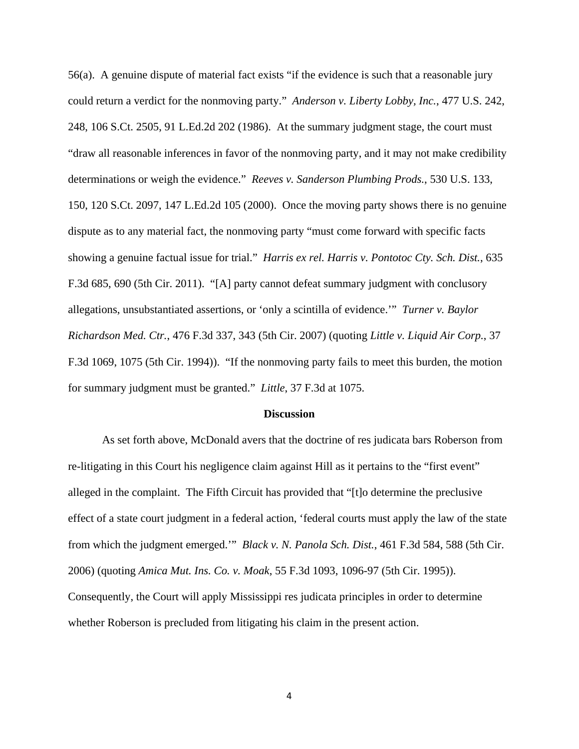56(a). A genuine dispute of material fact exists "if the evidence is such that a reasonable jury could return a verdict for the nonmoving party." *Anderson v. Liberty Lobby, Inc.*, 477 U.S. 242, 248, 106 S.Ct. 2505, 91 L.Ed.2d 202 (1986). At the summary judgment stage, the court must "draw all reasonable inferences in favor of the nonmoving party, and it may not make credibility determinations or weigh the evidence." *Reeves v. Sanderson Plumbing Prods.*, 530 U.S. 133, 150, 120 S.Ct. 2097, 147 L.Ed.2d 105 (2000). Once the moving party shows there is no genuine dispute as to any material fact, the nonmoving party "must come forward with specific facts showing a genuine factual issue for trial." *Harris ex rel. Harris v. Pontotoc Cty. Sch. Dist.*, 635 F.3d 685, 690 (5th Cir. 2011). "[A] party cannot defeat summary judgment with conclusory allegations, unsubstantiated assertions, or 'only a scintilla of evidence.'" *Turner v. Baylor Richardson Med. Ctr.*, 476 F.3d 337, 343 (5th Cir. 2007) (quoting *Little v. Liquid Air Corp.*, 37 F.3d 1069, 1075 (5th Cir. 1994)). "If the nonmoving party fails to meet this burden, the motion for summary judgment must be granted." *Little*, 37 F.3d at 1075.

#### **Discussion**

 As set forth above, McDonald avers that the doctrine of res judicata bars Roberson from re-litigating in this Court his negligence claim against Hill as it pertains to the "first event" alleged in the complaint. The Fifth Circuit has provided that "[t]o determine the preclusive effect of a state court judgment in a federal action, 'federal courts must apply the law of the state from which the judgment emerged.'" *Black v. N. Panola Sch. Dist.*, 461 F.3d 584, 588 (5th Cir. 2006) (quoting *Amica Mut. Ins. Co. v. Moak*, 55 F.3d 1093, 1096-97 (5th Cir. 1995)). Consequently, the Court will apply Mississippi res judicata principles in order to determine whether Roberson is precluded from litigating his claim in the present action.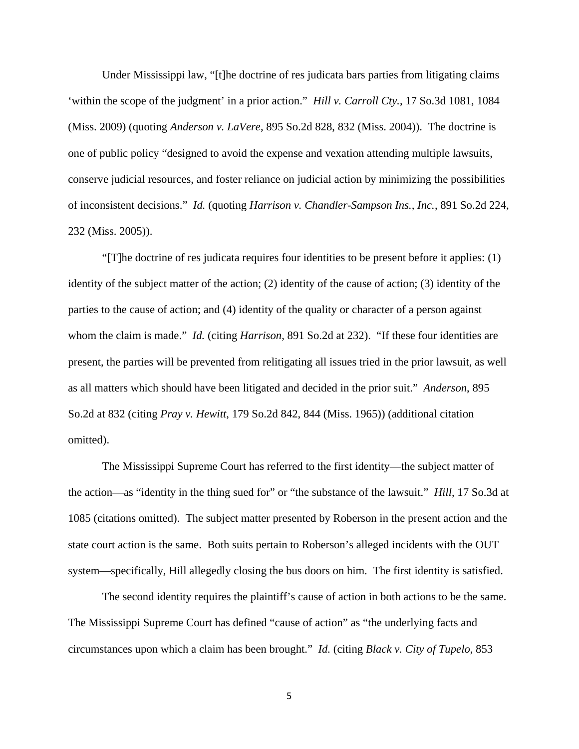Under Mississippi law, "[t]he doctrine of res judicata bars parties from litigating claims 'within the scope of the judgment' in a prior action." *Hill v. Carroll Cty.*, 17 So.3d 1081, 1084 (Miss. 2009) (quoting *Anderson v. LaVere*, 895 So.2d 828, 832 (Miss. 2004)). The doctrine is one of public policy "designed to avoid the expense and vexation attending multiple lawsuits, conserve judicial resources, and foster reliance on judicial action by minimizing the possibilities of inconsistent decisions." *Id.* (quoting *Harrison v. Chandler-Sampson Ins., Inc.*, 891 So.2d 224, 232 (Miss. 2005)).

 "[T]he doctrine of res judicata requires four identities to be present before it applies: (1) identity of the subject matter of the action; (2) identity of the cause of action; (3) identity of the parties to the cause of action; and (4) identity of the quality or character of a person against whom the claim is made." *Id.* (citing *Harrison*, 891 So.2d at 232). "If these four identities are present, the parties will be prevented from relitigating all issues tried in the prior lawsuit, as well as all matters which should have been litigated and decided in the prior suit." *Anderson*, 895 So.2d at 832 (citing *Pray v. Hewitt*, 179 So.2d 842, 844 (Miss. 1965)) (additional citation omitted).

 The Mississippi Supreme Court has referred to the first identity—the subject matter of the action—as "identity in the thing sued for" or "the substance of the lawsuit." *Hill*, 17 So.3d at 1085 (citations omitted). The subject matter presented by Roberson in the present action and the state court action is the same. Both suits pertain to Roberson's alleged incidents with the OUT system—specifically, Hill allegedly closing the bus doors on him. The first identity is satisfied.

 The second identity requires the plaintiff's cause of action in both actions to be the same. The Mississippi Supreme Court has defined "cause of action" as "the underlying facts and circumstances upon which a claim has been brought." *Id.* (citing *Black v. City of Tupelo*, 853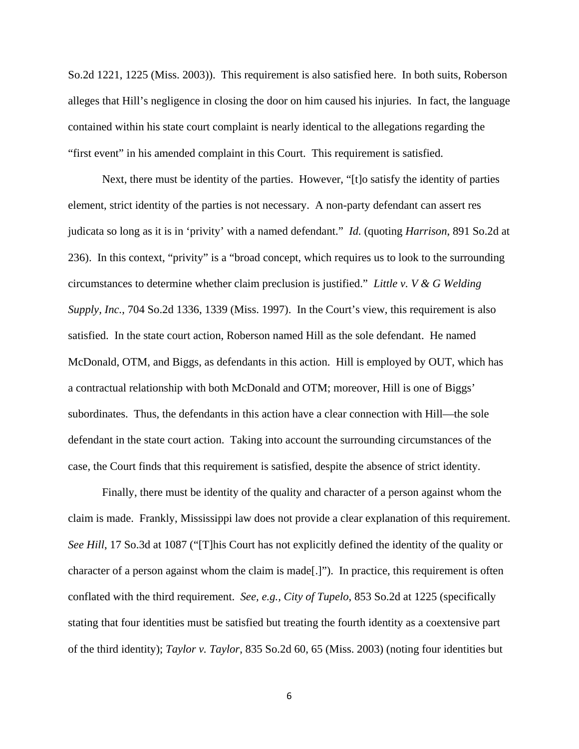So.2d 1221, 1225 (Miss. 2003)). This requirement is also satisfied here. In both suits, Roberson alleges that Hill's negligence in closing the door on him caused his injuries. In fact, the language contained within his state court complaint is nearly identical to the allegations regarding the "first event" in his amended complaint in this Court. This requirement is satisfied.

 Next, there must be identity of the parties. However, "[t]o satisfy the identity of parties element, strict identity of the parties is not necessary. A non-party defendant can assert res judicata so long as it is in 'privity' with a named defendant." *Id.* (quoting *Harrison*, 891 So.2d at 236). In this context, "privity" is a "broad concept, which requires us to look to the surrounding circumstances to determine whether claim preclusion is justified." *Little v. V & G Welding Supply, Inc.*, 704 So.2d 1336, 1339 (Miss. 1997). In the Court's view, this requirement is also satisfied. In the state court action, Roberson named Hill as the sole defendant. He named McDonald, OTM, and Biggs, as defendants in this action. Hill is employed by OUT, which has a contractual relationship with both McDonald and OTM; moreover, Hill is one of Biggs' subordinates. Thus, the defendants in this action have a clear connection with Hill—the sole defendant in the state court action. Taking into account the surrounding circumstances of the case, the Court finds that this requirement is satisfied, despite the absence of strict identity.

 Finally, there must be identity of the quality and character of a person against whom the claim is made. Frankly, Mississippi law does not provide a clear explanation of this requirement. *See Hill*, 17 So.3d at 1087 ("[T]his Court has not explicitly defined the identity of the quality or character of a person against whom the claim is made[.]").In practice, this requirement is often conflated with the third requirement. *See, e.g., City of Tupelo*, 853 So.2d at 1225 (specifically stating that four identities must be satisfied but treating the fourth identity as a coextensive part of the third identity); *Taylor v. Taylor*, 835 So.2d 60, 65 (Miss. 2003) (noting four identities but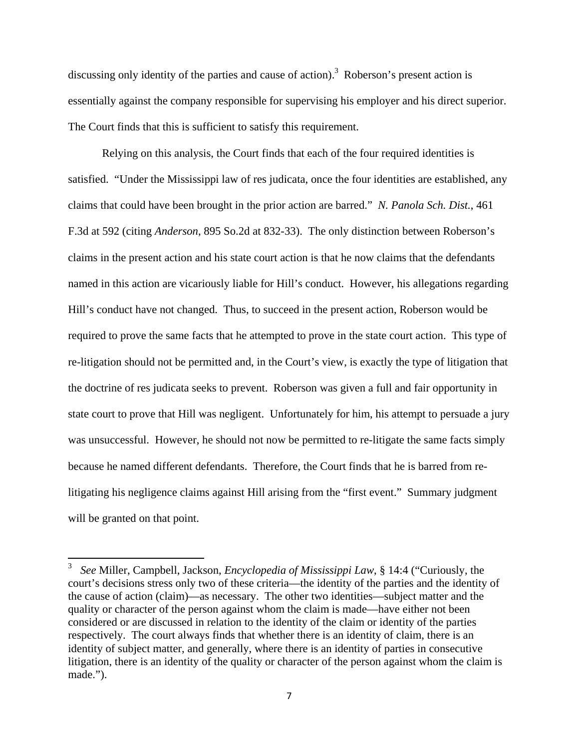discussing only identity of the parties and cause of action).<sup>3</sup> Roberson's present action is essentially against the company responsible for supervising his employer and his direct superior. The Court finds that this is sufficient to satisfy this requirement.

 Relying on this analysis, the Court finds that each of the four required identities is satisfied. "Under the Mississippi law of res judicata, once the four identities are established, any claims that could have been brought in the prior action are barred." *N. Panola Sch. Dist.*, 461 F.3d at 592 (citing *Anderson*, 895 So.2d at 832-33). The only distinction between Roberson's claims in the present action and his state court action is that he now claims that the defendants named in this action are vicariously liable for Hill's conduct. However, his allegations regarding Hill's conduct have not changed. Thus, to succeed in the present action, Roberson would be required to prove the same facts that he attempted to prove in the state court action. This type of re-litigation should not be permitted and, in the Court's view, is exactly the type of litigation that the doctrine of res judicata seeks to prevent. Roberson was given a full and fair opportunity in state court to prove that Hill was negligent. Unfortunately for him, his attempt to persuade a jury was unsuccessful. However, he should not now be permitted to re-litigate the same facts simply because he named different defendants. Therefore, the Court finds that he is barred from relitigating his negligence claims against Hill arising from the "first event." Summary judgment will be granted on that point.

<sup>3</sup> *See* Miller, Campbell, Jackson, *Encyclopedia of Mississippi Law*, § 14:4 ("Curiously, the court's decisions stress only two of these criteria—the identity of the parties and the identity of the cause of action (claim)—as necessary. The other two identities—subject matter and the quality or character of the person against whom the claim is made—have either not been considered or are discussed in relation to the identity of the claim or identity of the parties respectively. The court always finds that whether there is an identity of claim, there is an identity of subject matter, and generally, where there is an identity of parties in consecutive litigation, there is an identity of the quality or character of the person against whom the claim is made.").